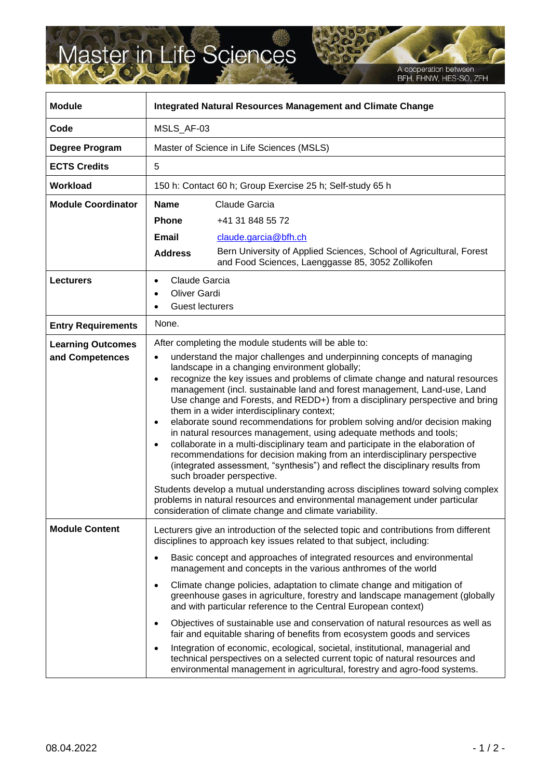## Master in Life Sciences

A cooperation between<br>BFH, FHNW, HES-SO, ZFH

| <b>Module</b>                               | <b>Integrated Natural Resources Management and Climate Change</b>                                                                                                                                                                                                                                                                                                                                                                                                                                                                                                                                                                                                                                                                                                                                                                                                                                                                                                                                                                                                                                                                                                                                |
|---------------------------------------------|--------------------------------------------------------------------------------------------------------------------------------------------------------------------------------------------------------------------------------------------------------------------------------------------------------------------------------------------------------------------------------------------------------------------------------------------------------------------------------------------------------------------------------------------------------------------------------------------------------------------------------------------------------------------------------------------------------------------------------------------------------------------------------------------------------------------------------------------------------------------------------------------------------------------------------------------------------------------------------------------------------------------------------------------------------------------------------------------------------------------------------------------------------------------------------------------------|
| Code                                        | MSLS_AF-03                                                                                                                                                                                                                                                                                                                                                                                                                                                                                                                                                                                                                                                                                                                                                                                                                                                                                                                                                                                                                                                                                                                                                                                       |
| Degree Program                              | Master of Science in Life Sciences (MSLS)                                                                                                                                                                                                                                                                                                                                                                                                                                                                                                                                                                                                                                                                                                                                                                                                                                                                                                                                                                                                                                                                                                                                                        |
| <b>ECTS Credits</b>                         | 5                                                                                                                                                                                                                                                                                                                                                                                                                                                                                                                                                                                                                                                                                                                                                                                                                                                                                                                                                                                                                                                                                                                                                                                                |
| Workload                                    | 150 h: Contact 60 h; Group Exercise 25 h; Self-study 65 h                                                                                                                                                                                                                                                                                                                                                                                                                                                                                                                                                                                                                                                                                                                                                                                                                                                                                                                                                                                                                                                                                                                                        |
| <b>Module Coordinator</b>                   | <b>Name</b><br>Claude Garcia                                                                                                                                                                                                                                                                                                                                                                                                                                                                                                                                                                                                                                                                                                                                                                                                                                                                                                                                                                                                                                                                                                                                                                     |
|                                             | <b>Phone</b><br>+41 31 848 55 72                                                                                                                                                                                                                                                                                                                                                                                                                                                                                                                                                                                                                                                                                                                                                                                                                                                                                                                                                                                                                                                                                                                                                                 |
|                                             | <b>Email</b><br>claude.garcia@bfh.ch                                                                                                                                                                                                                                                                                                                                                                                                                                                                                                                                                                                                                                                                                                                                                                                                                                                                                                                                                                                                                                                                                                                                                             |
|                                             | Bern University of Applied Sciences, School of Agricultural, Forest<br><b>Address</b><br>and Food Sciences, Laenggasse 85, 3052 Zollikofen                                                                                                                                                                                                                                                                                                                                                                                                                                                                                                                                                                                                                                                                                                                                                                                                                                                                                                                                                                                                                                                       |
| <b>Lecturers</b>                            | Claude Garcia<br><b>Oliver Gardi</b><br><b>Guest lecturers</b><br>$\bullet$                                                                                                                                                                                                                                                                                                                                                                                                                                                                                                                                                                                                                                                                                                                                                                                                                                                                                                                                                                                                                                                                                                                      |
| <b>Entry Requirements</b>                   | None.                                                                                                                                                                                                                                                                                                                                                                                                                                                                                                                                                                                                                                                                                                                                                                                                                                                                                                                                                                                                                                                                                                                                                                                            |
| <b>Learning Outcomes</b><br>and Competences | After completing the module students will be able to:<br>understand the major challenges and underpinning concepts of managing<br>$\bullet$<br>landscape in a changing environment globally;<br>recognize the key issues and problems of climate change and natural resources<br>$\bullet$<br>management (incl. sustainable land and forest management, Land-use, Land<br>Use change and Forests, and REDD+) from a disciplinary perspective and bring<br>them in a wider interdisciplinary context;<br>elaborate sound recommendations for problem solving and/or decision making<br>$\bullet$<br>in natural resources management, using adequate methods and tools;<br>collaborate in a multi-disciplinary team and participate in the elaboration of<br>$\bullet$<br>recommendations for decision making from an interdisciplinary perspective<br>(integrated assessment, "synthesis") and reflect the disciplinary results from<br>such broader perspective.<br>Students develop a mutual understanding across disciplines toward solving complex<br>problems in natural resources and environmental management under particular<br>consideration of climate change and climate variability. |
| <b>Module Content</b>                       | Lecturers give an introduction of the selected topic and contributions from different<br>disciplines to approach key issues related to that subject, including:<br>Basic concept and approaches of integrated resources and environmental<br>management and concepts in the various anthromes of the world<br>Climate change policies, adaptation to climate change and mitigation of<br>$\bullet$<br>greenhouse gases in agriculture, forestry and landscape management (globally<br>and with particular reference to the Central European context)<br>Objectives of sustainable use and conservation of natural resources as well as<br>fair and equitable sharing of benefits from ecosystem goods and services<br>Integration of economic, ecological, societal, institutional, managerial and<br>technical perspectives on a selected current topic of natural resources and<br>environmental management in agricultural, forestry and agro-food systems.                                                                                                                                                                                                                                   |